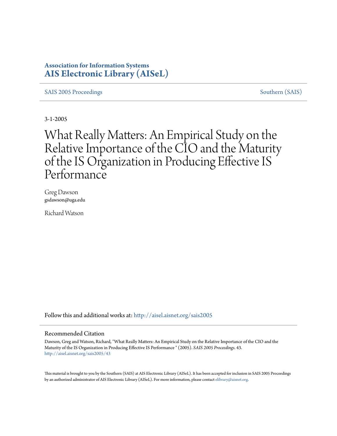# **Association for Information Systems [AIS Electronic Library \(AISeL\)](http://aisel.aisnet.org?utm_source=aisel.aisnet.org%2Fsais2005%2F43&utm_medium=PDF&utm_campaign=PDFCoverPages)**

[SAIS 2005 Proceedings](http://aisel.aisnet.org/sais2005?utm_source=aisel.aisnet.org%2Fsais2005%2F43&utm_medium=PDF&utm_campaign=PDFCoverPages) [Southern \(SAIS\)](http://aisel.aisnet.org/sais?utm_source=aisel.aisnet.org%2Fsais2005%2F43&utm_medium=PDF&utm_campaign=PDFCoverPages)

3-1-2005

# What Really Matters: An Empirical Study on the Relative Importance of the CIO and the Maturity of the IS Organization in Producing Effective IS Performance

Greg Dawson gsdawson@uga.edu

Richard Watson

Follow this and additional works at: [http://aisel.aisnet.org/sais2005](http://aisel.aisnet.org/sais2005?utm_source=aisel.aisnet.org%2Fsais2005%2F43&utm_medium=PDF&utm_campaign=PDFCoverPages)

#### Recommended Citation

Dawson, Greg and Watson, Richard, "What Really Matters: An Empirical Study on the Relative Importance of the CIO and the Maturity of the IS Organization in Producing Effective IS Performance " (2005). *SAIS 2005 Proceedings*. 43. [http://aisel.aisnet.org/sais2005/43](http://aisel.aisnet.org/sais2005/43?utm_source=aisel.aisnet.org%2Fsais2005%2F43&utm_medium=PDF&utm_campaign=PDFCoverPages)

This material is brought to you by the Southern (SAIS) at AIS Electronic Library (AISeL). It has been accepted for inclusion in SAIS 2005 Proceedings by an authorized administrator of AIS Electronic Library (AISeL). For more information, please contact [elibrary@aisnet.org](mailto:elibrary@aisnet.org%3E).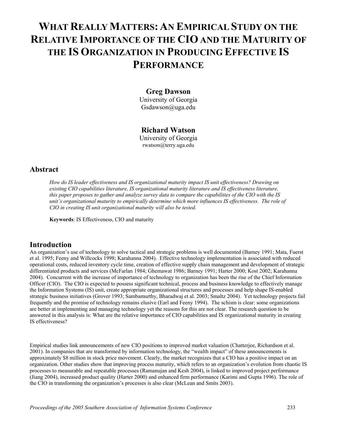# **WHAT REALLY MATTERS: AN EMPIRICAL STUDY ON THE RELATIVE IMPORTANCE OF THE CIO AND THE MATURITY OF THE IS ORGANIZATION IN PRODUCING EFFECTIVE IS PERFORMANCE**

### **Greg Dawson**

University of Georgia Gsdawson@uga.edu

## **Richard Watson**

University of Georgia rwatson@terry.uga.edu

## **Abstract**

*How do IS leader effectiveness and IS organizational maturity impact IS unit effectiveness? Drawing on existing CIO capabilities literature, IS organizational maturity literature and IS effectiveness literature, this paper proposes to gather and analyze survey data to compare the capabilities of the CIO with the IS unit's organizational maturity to empirically determine which more influences IS effectiveness. The role of CIO in creating IS unit organizational maturity will also be tested.* 

**Keywords**: IS Effectiveness, CIO and maturity

## **Introduction**

An organization's use of technology to solve tactical and strategic problems is well documented (Barney 1991; Mata, Fuerst et al. 1995; Feeny and Willcocks 1998; Karahanna 2004). Effective technology implementation is associated with reduced operational costs, reduced inventory cycle time, creation of effective supply chain management and development of strategic differentiated products and services (McFarlan 1984; Ghemawat 1986; Barney 1991; Harter 2000; Kost 2002; Karahanna 2004). Concurrent with the increase of importance of technology to organization has been the rise of the Chief Information Officer (CIO). The CIO is expected to possess significant technical, process and business knowledge to effectively manage the Information Systems (IS) unit, create appropriate organizational structures and processes and help shape IS-enabled strategic business initiatives (Grover 1993; Sambamurthy, Bharadwaj et al. 2003; Smaltz 2004). Yet technology projects fail frequently and the promise of technology remains elusive (Earl and Feeny 1994). The schism is clear: some organizations are better at implementing and managing technology yet the reasons for this are not clear. The research question to be answered in this analysis is: What are the relative importance of CIO capabilities and IS organizational maturity in creating IS effectiveness?

Empirical studies link announcements of new CIO positions to improved market valuation (Chatterjee, Richardson et al. 2001). In companies that are transformed by information technology, the "wealth impact" of these announcements is approximately \$8 million in stock price movement. Clearly, the market recognizes that a CIO has a positive impact on an organization. Other studies show that improving process maturity, which refers to an organization's evolution from chaotic IS processes to measurable and repeatable processes (Ramanujan and Kesh 2004), is linked to improved project performance (Jiang 2004), increased product quality (Harter 2000) and enhanced firm performance (Karimi and Gupta 1996). The role of the CIO in transforming the organization's processes is also clear (McLean and Smits 2003).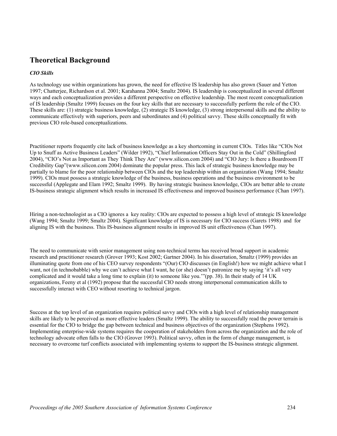# **Theoretical Background**

#### *CIO Skills*

As technology use within organizations has grown, the need for effective IS leadership has also grown (Sauer and Yetton 1997; Chatterjee, Richardson et al. 2001; Karahanna 2004; Smaltz 2004). IS leadership is conceptualized in several different ways and each conceptualization provides a different perspective on effective leadership. The most recent conceptualization of IS leadership (Smaltz 1999) focuses on the four key skills that are necessary to successfully perform the role of the CIO. These skills are: (1) strategic business knowledge, (2) strategic IS knowledge, (3) strong interpersonal skills and the ability to communicate effectively with superiors, peers and subordinates and (4) political savvy. These skills conceptually fit with previous CIO role-based conceptualizations.

Practitioner reports frequently cite lack of business knowledge as a key shortcoming in current CIOs. Titles like "CIOs Not Up to Snuff as Active Business Leaders" (Wilder 1992), "Chief Information Officers Stay Out in the Cold" (Shillingford 2004), "CIO's Not as Important as They Think They Are" (www.silicon.com 2004) and "CIO Jury: Is there a Boardroom IT Credibility Gap"(www.silicon.com 2004) dominate the popular press. This lack of strategic business knowledge may be partially to blame for the poor relationship between CIOs and the top leadership within an organization (Wang 1994; Smaltz 1999). CIOs must possess a strategic knowledge of the business, business operations and the business environment to be successful (Applegate and Elam 1992; Smaltz 1999). By having strategic business knowledge, CIOs are better able to create IS-business strategic alignment which results in increased IS effectiveness and improved business performance (Chan 1997).

Hiring a non-technologist as a CIO ignores a key reality: CIOs are expected to possess a high level of strategic IS knowledge (Wang 1994; Smaltz 1999; Smaltz 2004). Significant knowledge of IS is necessary for CIO success (Garets 1998) and for aligning IS with the business. This IS-business alignment results in improved IS unit effectiveness (Chan 1997).

The need to communicate with senior management using non-technical terms has received broad support in academic research and practitioner research (Grover 1993; Kost 2002; Gartner 2004). In his dissertation, Smaltz (1999) provides an illuminating quote from one of his CEO survey respondents "(Our) CIO discusses (in English!) how we might achieve what I want, not (in technobabble) why we can't achieve what I want, he (or she) doesn't patronize me by saying 'it's all very complicated and it would take a long time to explain (it) to someone like you.'"(pp. 38). In their study of 14 UK organizations, Feeny et al (1992) propose that the successful CIO needs strong interpersonal communication skills to successfully interact with CEO without resorting to technical jargon.

Success at the top level of an organization requires political savvy and CIOs with a high level of relationship management skills are likely to be perceived as more effective leaders (Smaltz 1999). The ability to successfully read the power terrain is essential for the CIO to bridge the gap between technical and business objectives of the organization (Stephens 1992). Implementing enterprise-wide systems requires the cooperation of stakeholders from across the organization and the role of technology advocate often falls to the CIO (Grover 1993). Political savvy, often in the form of change management, is necessary to overcome turf conflicts associated with implementing systems to support the IS-business strategic alignment.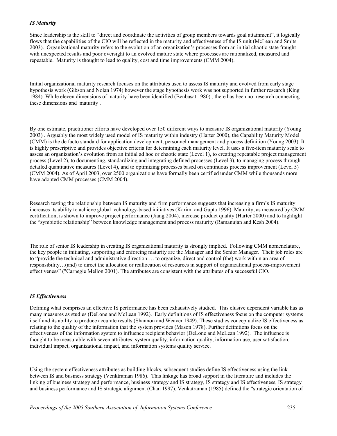#### *IS Maturity*

Since leadership is the skill to "direct and coordinate the activities of group members towards goal attainment", it logically flows that the capabilities of the CIO will be reflected in the maturity and effectiveness of the IS unit (McLean and Smits 2003). Organizational maturity refers to the evolution of an organization's processes from an initial chaotic state fraught with unexpected results and poor oversight to an evolved mature state where processes are rationalized, measured and repeatable. Maturity is thought to lead to quality, cost and time improvements (CMM 2004).

Initial organizational maturity research focuses on the attributes used to assess IS maturity and evolved from early stage hypothesis work (Gibson and Nolan 1974) however the stage hypothesis work was not supported in further research (King 1984). While eleven dimensions of maturity have been identified (Benbasat 1980) , there has been no research connecting these dimensions and maturity .

By one estimate, practitioner efforts have developed over 150 different ways to measure IS organizational maturity (Young 2003) . Arguably the most widely used model of IS maturity within industry (Harter 2000), the Capability Maturity Model (CMM) is the de facto standard for application development, personnel management and process definition (Young 2003). It is highly prescriptive and provides objective criteria for determining each maturity level. It uses a five-item maturity scale to assess an organization's evolution from an initial ad hoc or chaotic state (Level 1), to creating repeatable project management process (Level 2), to documenting, standardizing and integrating defined processes (Level 3), to managing process through detailed quantitative measures (Level 4), and to optimizing processes based on continuous process improvement (Level 5) (CMM 2004). As of April 2003, over 2500 organizations have formally been certified under CMM while thousands more have adopted CMM processes (CMM 2004).

Research testing the relationship between IS maturity and firm performance suggests that increasing a firm's IS maturity increases its ability to achieve global technology-based initiatives (Karimi and Gupta 1996). Maturity, as measured by CMM certification, is shown to improve project performance (Jiang 2004), increase product quality (Harter 2000) and to highlight the "symbiotic relationship" between knowledge management and process maturity (Ramanujan and Kesh 2004).

The role of senior IS leadership in creating IS organizational maturity is strongly implied. Following CMM nomenclature, the key people in initiating, supporting and enforcing maturity are the Manager and the Senior Manager. Their job roles are to "provide the technical and administrative direction…. to organize, direct and control (the) work within an area of responsibility…(and) to direct the allocation or reallocation of resources in support of organizational process-improvement effectiveness" ("Carnegie Mellon 2001). The attributes are consistent with the attributes of a successful CIO.

#### *IS Effectiveness*

Defining what comprises an effective IS performance has been exhaustively studied. This elusive dependent variable has as many measures as studies (DeLone and McLean 1992). Early definitions of IS effectiveness focus on the computer systems itself and its ability to produce accurate results (Shannon and Weaver 1949). These studies conceptualize IS effectiveness as relating to the quality of the information that the system provides (Mason 1978). Further definitions focus on the effectiveness of the information system to influence recipient behavior (DeLone and McLean 1992). The influence is thought to be measurable with seven attributes: system quality, information quality, information use, user satisfaction, individual impact, organizational impact, and information systems quality service.

Using the system effectiveness attributes as building blocks, subsequent studies define IS effectiveness using the link between IS and business strategy (Venktraman 1986). This linkage has broad support in the literature and includes the linking of business strategy and performance, business strategy and IS strategy, IS strategy and IS effectiveness, IS strategy and business performance and IS strategic alignment (Chan 1997). Venkatraman (1985) defined the "strategic orientation of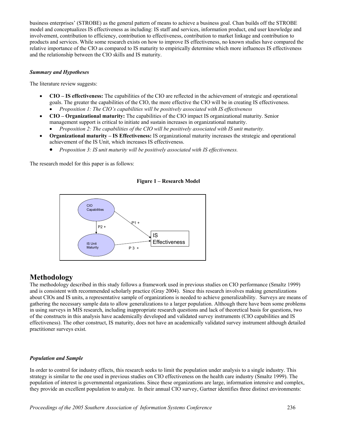business enterprises' (STROBE) as the general pattern of means to achieve a business goal. Chan builds off the STROBE model and conceptualizes IS effectiveness as including: IS staff and services, information product, end user knowledge and involvement, contribution to efficiency, contribution to effectiveness, contribution to market linkage and contribution to products and services. While some research exists on how to improve IS effectiveness, no known studies have compared the relative importance of the CIO as compared to IS maturity to empirically determine which more influences IS effectiveness and the relationship between the CIO skills and IS maturity.

#### *Summary and Hypotheses*

The literature review suggests:

- **CIO IS effectiveness:** The capabilities of the CIO are reflected in the achievement of strategic and operational goals. The greater the capabilities of the CIO, the more effective the CIO will be in creating IS effectiveness. • *Proposition 1: The CIO's capabilities will be positively associated with IS effectiveness*
- **CIO Organizational maturity:** The capabilities of the CIO impact IS organizational maturity. Senior management support is critical to initiate and sustain increases in organizational maturity.
	- *Proposition 2: The capabilities of the CIO will be positively associated with IS unit maturity.*
- **Organizational maturity – IS Effectiveness:** IS organizational maturity increases the strategic and operational achievement of the IS Unit, which increases IS effectiveness.
	- *Proposition 3: IS unit maturity will be positively associated with IS effectiveness.*

The research model for this paper is as follows:

#### **Figure 1 – Research Model**



## **Methodology**

The methodology described in this study follows a framework used in previous studies on CIO performance (Smaltz 1999) and is consistent with recommended scholarly practice (Gray 2004). Since this research involves making generalizations about CIOs and IS units, a representative sample of organizations is needed to achieve generalizability. Surveys are means of gathering the necessary sample data to allow generalizations to a larger population. Although there have been some problems in using surveys in MIS research, including inappropriate research questions and lack of theoretical basis for questions, two of the constructs in this analysis have academically developed and validated survey instruments (CIO capabilities and IS effectiveness). The other construct, IS maturity, does not have an academically validated survey instrument although detailed practitioner surveys exist.

#### *Population and Sample*

In order to control for industry effects, this research seeks to limit the population under analysis to a single industry. This strategy is similar to the one used in previous studies on CIO effectiveness on the health care industry (Smaltz 1999). The population of interest is governmental organizations. Since these organizations are large, information intensive and complex, they provide an excellent population to analyze. In their annual CIO survey, Gartner identifies three distinct environments: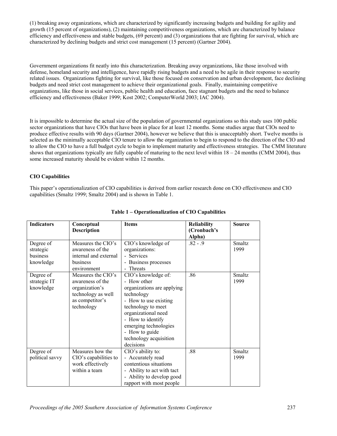(1) breaking away organizations, which are characterized by significantly increasing budgets and building for agility and growth (15 percent of organizations), (2) maintaining competitiveness organizations, which are characterized by balance efficiency and effectiveness and stable budgets, (69 percent) and (3) organizations that are fighting for survival, which are characterized by declining budgets and strict cost management (15 percent) (Gartner 2004).

Government organizations fit neatly into this characterization. Breaking away organizations, like those involved with defense, homeland security and intelligence, have rapidly rising budgets and a need to be agile in their response to security related issues. Organizations fighting for survival, like those focused on conservation and urban development, face declining budgets and need strict cost management to achieve their organizational goals. Finally, maintaining competitive organizations, like those in social services, public health and education, face stagnant budgets and the need to balance efficiency and effectiveness (Baker 1999; Kost 2002; ComputerWorld 2003; IAC 2004).

It is impossible to determine the actual size of the population of governmental organizations so this study uses 100 public sector organizations that have CIOs that have been in place for at least 12 months. Some studies argue that CIOs need to produce effective results with 90 days (Gartner 2004), however we believe that this is unacceptably short. Twelve months is selected as the minimally acceptable CIO tenure to allow the organization to begin to respond to the direction of the CIO and to allow the CIO to have a full budget cycle to begin to implement maturity and effectiveness strategies. The CMM literature shows that organizations typically are fully capable of maturing to the next level within  $18 - 24$  months (CMM 2004), thus some increased maturity should be evident within 12 months.

#### **CIO Capabilities**

This paper's operationalization of CIO capabilities is derived from earlier research done on CIO effectiveness and CIO capabilities (Smaltz 1999; Smaltz 2004) and is shown in Table 1.

| <b>Indicators</b>                               | Conceptual<br><b>Description</b>                                                                                | <b>Items</b>                                                                                                                                                                                                                                                | <b>Reliability</b><br>(Cronbach's<br>Alpha) | <b>Source</b>         |
|-------------------------------------------------|-----------------------------------------------------------------------------------------------------------------|-------------------------------------------------------------------------------------------------------------------------------------------------------------------------------------------------------------------------------------------------------------|---------------------------------------------|-----------------------|
| Degree of<br>strategic<br>business<br>knowledge | Measures the CIO's<br>awareness of the<br>internal and external<br>business<br>environment                      | CIO's knowledge of<br>organizations:<br>- Services<br>- Business processes<br>- Threats                                                                                                                                                                     | $.82 - .9$                                  | Smaltz<br>1999        |
| Degree of<br>strategic IT<br>knowledge          | Measures the CIO's<br>awareness of the<br>organization's<br>technology as well<br>as competitor's<br>technology | CIO's knowledge of:<br>- How other<br>organizations are applying<br>technology<br>- How to use existing<br>technology to meet<br>organizational need<br>- How to identify<br>emerging technologies<br>- How to guide<br>technology acquisition<br>decisions | .86                                         | <b>Smaltz</b><br>1999 |
| Degree of<br>political savvy                    | Measures how the<br>CIO's capabilities to<br>work effectively<br>within a team                                  | CIO's ability to:<br>- Accurately read<br>contentious situations<br>- Ability to act with tact<br>- Ability to develop good<br>rapport with most people                                                                                                     | .88                                         | <b>Smaltz</b><br>1999 |

#### **Table 1 – Operationalization of CIO Capabilities**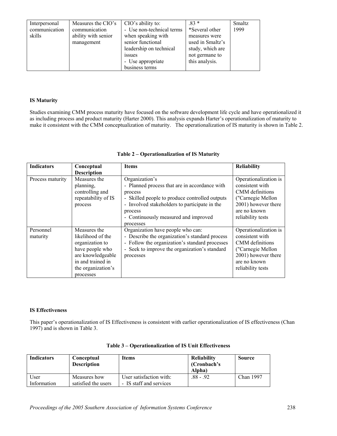| Interpersonal | Measures the CIO's  | CIO's ability to:         | $.83*$           | Smaltz |
|---------------|---------------------|---------------------------|------------------|--------|
| communication | communication       | - Use non-technical terms | *Several other   | 1999   |
| skills        | ability with senior | when speaking with        | measures were    |        |
|               | management          | senior functional         | used in Smaltz's |        |
|               |                     | leadership on technical   | study, which are |        |
|               |                     | <i>issues</i>             | not germane to   |        |
|               |                     | - Use appropriate         | this analysis.   |        |
|               |                     | business terms            |                  |        |

#### **IS Maturity**

Studies examining CMM process maturity have focused on the software development life cycle and have operationalized it as including process and product maturity (Harter 2000). This analysis expands Harter's operationalization of maturity to make it consistent with the CMM conceptualization of maturity. The operationalization of IS maturity is shown in Table 2.

| <b>Indicators</b>     | Conceptual                                                                                                                                           | <b>Items</b>                                                                                                                                                                                                                                  | <b>Reliability</b>                                                                                                                           |
|-----------------------|------------------------------------------------------------------------------------------------------------------------------------------------------|-----------------------------------------------------------------------------------------------------------------------------------------------------------------------------------------------------------------------------------------------|----------------------------------------------------------------------------------------------------------------------------------------------|
|                       | <b>Description</b>                                                                                                                                   |                                                                                                                                                                                                                                               |                                                                                                                                              |
| Process maturity      | Measures the<br>planning,<br>controlling and<br>repeatability of IS<br>process                                                                       | Organization's<br>- Planned process that are in accordance with<br>process<br>- Skilled people to produce controlled outputs<br>- Involved stakeholders to participate in the<br>process<br>- Continuously measured and improved<br>processes | Operationalization is<br>consistent with<br>CMM definitions<br>("Carnegie Mellon<br>2001) however there<br>are no known<br>reliability tests |
| Personnel<br>maturity | Measures the<br>likelihood of the<br>organization to<br>have people who<br>are knowledgeable<br>in and trained in<br>the organization's<br>processes | Organization have people who can:<br>- Describe the organization's standard process<br>- Follow the organization's standard processes<br>- Seek to improve the organization's standard<br>processes                                           | Operationalization is<br>consistent with<br>CMM definitions<br>("Carnegie Mellon<br>2001) however there<br>are no known<br>reliability tests |

#### **Table 2 – Operationalization of IS Maturity**

### **IS Effectiveness**

This paper's operationalization of IS Effectiveness is consistent with earlier operationalization of IS effectiveness (Chan 1997) and is shown in Table 3.

| <b>Indicators</b>   | Conceptual<br><b>Description</b>    | <b>Items</b>                                       | <b>Reliability</b><br>(Cronbach's)<br>Alpha) | Source    |
|---------------------|-------------------------------------|----------------------------------------------------|----------------------------------------------|-----------|
| User<br>Information | Measures how<br>satisfied the users | User satisfaction with:<br>- IS staff and services | $.88 - .92$                                  | Chan 1997 |

| Table 3 – Operationalization of IS Unit Effectiveness |  |
|-------------------------------------------------------|--|
|-------------------------------------------------------|--|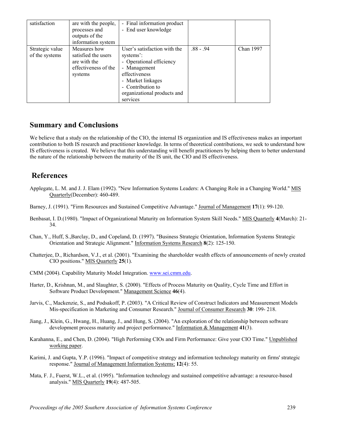| satisfaction                      | are with the people,<br>processes and<br>outputs of the<br>information system          | - Final information product<br>- End user knowledge                                                                                                                                         |             |           |
|-----------------------------------|----------------------------------------------------------------------------------------|---------------------------------------------------------------------------------------------------------------------------------------------------------------------------------------------|-------------|-----------|
| Strategic value<br>of the systems | Measures how<br>satisfied the users<br>are with the<br>effectiveness of the<br>systems | User's satisfaction with the<br>systems':<br>- Operational efficiency<br>- Management<br>effectiveness<br>- Market linkages<br>- Contribution to<br>organizational products and<br>services | $.88 - .94$ | Chan 1997 |

## **Summary and Conclusions**

We believe that a study on the relationship of the CIO, the internal IS organization and IS effectiveness makes an important contribution to both IS research and practitioner knowledge. In terms of theoretical contributions, we seek to understand how IS effectiveness is created. We believe that this understanding will benefit practitioners by helping them to better understand the nature of the relationship between the maturity of the IS unit, the CIO and IS effectiveness.

## **References**

- Applegate, L. M. and J. J. Elam (1992). "New Information Systems Leaders: A Changing Role in a Changing World." MIS Quarterly(December): 460-489.
- Barney, J. (1991). "Firm Resources and Sustained Competitive Advantage." Journal of Management **17**(1): 99-120.
- Benbasat, I. D.(1980). "Impact of Organizational Maturity on Information System Skill Needs." MIS Quarterly **4**(March): 21- 34.
- Chan, Y., Huff, S.,Barclay, D., and Copeland, D. (1997). "Business Strategic Orientation, Information Systems Strategic Orientation and Strategic Alignment." Information Systems Research **8**(2): 125-150.
- Chatterjee, D., Richardson, V.J., et al. (2001). "Examining the shareholder wealth effects of announcements of newly created CIO positions." MIS Quarterly **25**(1).
- CMM (2004). Capability Maturity Model Integration. [www.sei.cmm.edu](http://www.sei.cmm.edu/).
- Harter, D., Krishnan, M., and Slaughter, S. (2000). "Effects of Process Maturity on Quality, Cycle Time and Effort in Software Product Development." Management Science **46**(4).
- Jarvis, C., Mackenzie, S., and Podsakoff, P. (2003). "A Critical Review of Construct Indicators and Measurement Models Mis-specification in Marketing and Consumer Research." Journal of Consumer Research **30**: 199- 218.
- Jiang, J., Klein, G., Hwang, H., Huang, J., and Hung, S. (2004). "An exploration of the relationship between software development process maturity and project performance." Information & Management **41**(3).
- Karahanna, E., and Chen, D. (2004). "High Performing CIOs and Firm Performance: Give your CIO Time." Unpublished working paper.
- Karimi, J. and Gupta, Y.P. (1996). "Impact of competitive strategy and information technology maturity on firms' strategic response." Journal of Management Information Systems; **12**(4): 55.
- Mata, F. J., Fuerst, W.L., et al. (1995). "Information technology and sustained competitive advantage: a resource-based analysis." MIS Quarterly **19**(4): 487-505.